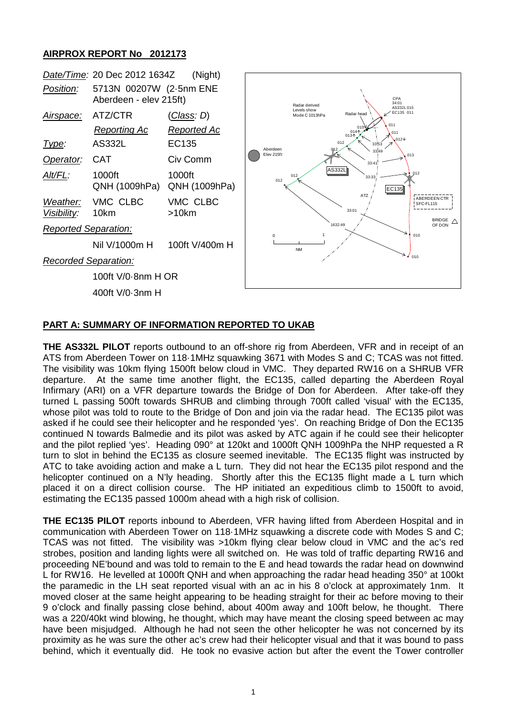## **AIRPROX REPORT No 2012173**



## **PART A: SUMMARY OF INFORMATION REPORTED TO UKAB**

**THE AS332L PILOT** reports outbound to an off-shore rig from Aberdeen, VFR and in receipt of an ATS from Aberdeen Tower on 118·1MHz squawking 3671 with Modes S and C; TCAS was not fitted. The visibility was 10km flying 1500ft below cloud in VMC. They departed RW16 on a SHRUB VFR departure. At the same time another flight, the EC135, called departing the Aberdeen Royal Infirmary (ARI) on a VFR departure towards the Bridge of Don for Aberdeen. After take-off they turned L passing 500ft towards SHRUB and climbing through 700ft called 'visual' with the EC135, whose pilot was told to route to the Bridge of Don and join via the radar head. The EC135 pilot was asked if he could see their helicopter and he responded 'yes'. On reaching Bridge of Don the EC135 continued N towards Balmedie and its pilot was asked by ATC again if he could see their helicopter and the pilot replied 'yes'. Heading 090° at 120kt and 1000ft QNH 1009hPa the NHP requested a R turn to slot in behind the EC135 as closure seemed inevitable. The EC135 flight was instructed by ATC to take avoiding action and make a L turn. They did not hear the EC135 pilot respond and the helicopter continued on a N'ly heading. Shortly after this the EC135 flight made a L turn which placed it on a direct collision course. The HP initiated an expeditious climb to 1500ft to avoid, estimating the EC135 passed 1000m ahead with a high risk of collision.

**THE EC135 PILOT** reports inbound to Aberdeen, VFR having lifted from Aberdeen Hospital and in communication with Aberdeen Tower on 118·1MHz squawking a discrete code with Modes S and C; TCAS was not fitted. The visibility was >10km flying clear below cloud in VMC and the ac's red strobes, position and landing lights were all switched on. He was told of traffic departing RW16 and proceeding NE'bound and was told to remain to the E and head towards the radar head on downwind L for RW16. He levelled at 1000ft QNH and when approaching the radar head heading 350° at 100kt the paramedic in the LH seat reported visual with an ac in his 8 o'clock at approximately 1nm. It moved closer at the same height appearing to be heading straight for their ac before moving to their 9 o'clock and finally passing close behind, about 400m away and 100ft below, he thought. There was a 220/40kt wind blowing, he thought, which may have meant the closing speed between ac may have been misjudged. Although he had not seen the other helicopter he was not concerned by its proximity as he was sure the other ac's crew had their helicopter visual and that it was bound to pass behind, which it eventually did. He took no evasive action but after the event the Tower controller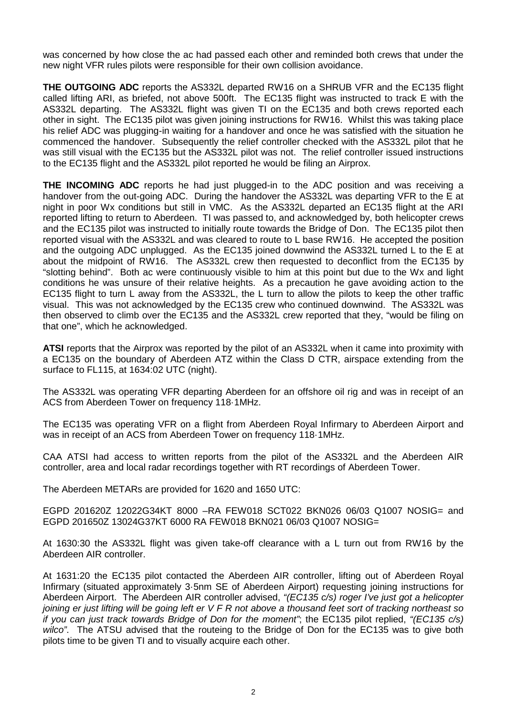was concerned by how close the ac had passed each other and reminded both crews that under the new night VFR rules pilots were responsible for their own collision avoidance.

**THE OUTGOING ADC** reports the AS332L departed RW16 on a SHRUB VFR and the EC135 flight called lifting ARI, as briefed, not above 500ft. The EC135 flight was instructed to track E with the AS332L departing. The AS332L flight was given TI on the EC135 and both crews reported each other in sight. The EC135 pilot was given joining instructions for RW16. Whilst this was taking place his relief ADC was plugging-in waiting for a handover and once he was satisfied with the situation he commenced the handover. Subsequently the relief controller checked with the AS332L pilot that he was still visual with the EC135 but the AS332L pilot was not. The relief controller issued instructions to the EC135 flight and the AS332L pilot reported he would be filing an Airprox.

**THE INCOMING ADC** reports he had just plugged-in to the ADC position and was receiving a handover from the out-going ADC. During the handover the AS332L was departing VFR to the E at night in poor Wx conditions but still in VMC. As the AS332L departed an EC135 flight at the ARI reported lifting to return to Aberdeen. TI was passed to, and acknowledged by, both helicopter crews and the EC135 pilot was instructed to initially route towards the Bridge of Don. The EC135 pilot then reported visual with the AS332L and was cleared to route to L base RW16. He accepted the position and the outgoing ADC unplugged. As the EC135 joined downwind the AS332L turned L to the E at about the midpoint of RW16. The AS332L crew then requested to deconflict from the EC135 by "slotting behind". Both ac were continuously visible to him at this point but due to the Wx and light conditions he was unsure of their relative heights. As a precaution he gave avoiding action to the EC135 flight to turn L away from the AS332L, the L turn to allow the pilots to keep the other traffic visual. This was not acknowledged by the EC135 crew who continued downwind. The AS332L was then observed to climb over the EC135 and the AS332L crew reported that they, "would be filing on that one", which he acknowledged.

**ATSI** reports that the Airprox was reported by the pilot of an AS332L when it came into proximity with a EC135 on the boundary of Aberdeen ATZ within the Class D CTR, airspace extending from the surface to FL115, at 1634:02 UTC (night).

The AS332L was operating VFR departing Aberdeen for an offshore oil rig and was in receipt of an ACS from Aberdeen Tower on frequency 118·1MHz.

The EC135 was operating VFR on a flight from Aberdeen Royal Infirmary to Aberdeen Airport and was in receipt of an ACS from Aberdeen Tower on frequency 118·1MHz.

CAA ATSI had access to written reports from the pilot of the AS332L and the Aberdeen AIR controller, area and local radar recordings together with RT recordings of Aberdeen Tower.

The Aberdeen METARs are provided for 1620 and 1650 UTC:

EGPD 201620Z 12022G34KT 8000 –RA FEW018 SCT022 BKN026 06/03 Q1007 NOSIG= and EGPD 201650Z 13024G37KT 6000 RA FEW018 BKN021 06/03 Q1007 NOSIG=

At 1630:30 the AS332L flight was given take-off clearance with a L turn out from RW16 by the Aberdeen AIR controller.

At 1631:20 the EC135 pilot contacted the Aberdeen AIR controller, lifting out of Aberdeen Royal Infirmary (situated approximately 3·5nm SE of Aberdeen Airport) requesting joining instructions for Aberdeen Airport. The Aberdeen AIR controller advised, *"(EC135 c/s) roger I've just got a helicopter joining er just lifting will be going left er V F R not above a thousand feet sort of tracking northeast so if you can just track towards Bridge of Don for the moment"*; the EC135 pilot replied, *"(EC135 c/s) wilco"*. The ATSU advised that the routeing to the Bridge of Don for the EC135 was to give both pilots time to be given TI and to visually acquire each other.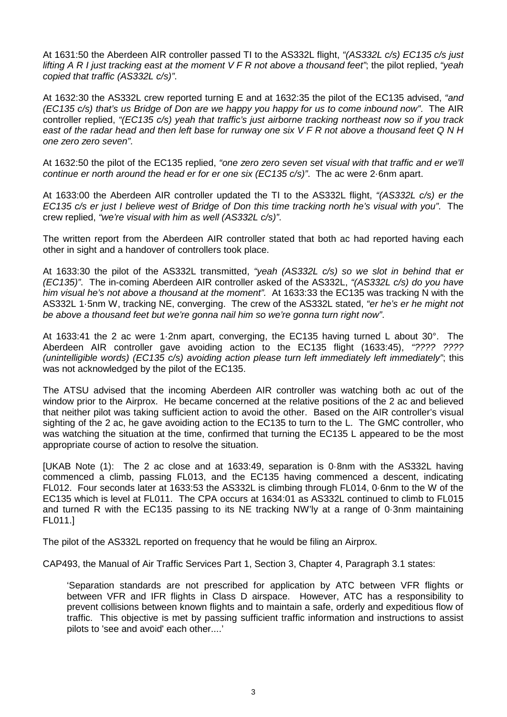At 1631:50 the Aberdeen AIR controller passed TI to the AS332L flight, *"(AS332L c/s) EC135 c/s just lifting A R I just tracking east at the moment V F R not above a thousand feet"*; the pilot replied, *"yeah copied that traffic (AS332L c/s)"*.

At 1632:30 the AS332L crew reported turning E and at 1632:35 the pilot of the EC135 advised, *"and (EC135 c/s) that's us Bridge of Don are we happy you happy for us to come inbound now"*. The AIR controller replied, *"(EC135 c/s) yeah that traffic's just airborne tracking northeast now so if you track east of the radar head and then left base for runway one six V F R not above a thousand feet Q N H one zero zero seven"*.

At 1632:50 the pilot of the EC135 replied, *"one zero zero seven set visual with that traffic and er we'll continue er north around the head er for er one six (EC135 c/s)"*. The ac were 2·6nm apart.

At 1633:00 the Aberdeen AIR controller updated the TI to the AS332L flight, *"(AS332L c/s) er the EC135 c/s er just I believe west of Bridge of Don this time tracking north he's visual with you"*. The crew replied, *"we're visual with him as well (AS332L c/s)"*.

The written report from the Aberdeen AIR controller stated that both ac had reported having each other in sight and a handover of controllers took place.

At 1633:30 the pilot of the AS332L transmitted, *"yeah (AS332L c/s) so we slot in behind that er (EC135)"*. The in-coming Aberdeen AIR controller asked of the AS332L, *"(AS332L c/s) do you have him visual he's not above a thousand at the moment".* At 1633:33 the EC135 was tracking N with the AS332L 1·5nm W, tracking NE, converging. The crew of the AS332L stated, *"er he's er he might not be above a thousand feet but we're gonna nail him so we're gonna turn right now"*.

At 1633:41 the 2 ac were 1·2nm apart, converging, the EC135 having turned L about 30°. The Aberdeen AIR controller gave avoiding action to the EC135 flight (1633:45), *"???? ???? (unintelligible words) (EC135 c/s) avoiding action please turn left immediately left immediately"*; this was not acknowledged by the pilot of the EC135.

The ATSU advised that the incoming Aberdeen AIR controller was watching both ac out of the window prior to the Airprox. He became concerned at the relative positions of the 2 ac and believed that neither pilot was taking sufficient action to avoid the other. Based on the AIR controller's visual sighting of the 2 ac, he gave avoiding action to the EC135 to turn to the L. The GMC controller, who was watching the situation at the time, confirmed that turning the EC135 L appeared to be the most appropriate course of action to resolve the situation.

[UKAB Note (1): The 2 ac close and at 1633:49, separation is 0·8nm with the AS332L having commenced a climb, passing FL013, and the EC135 having commenced a descent, indicating FL012. Four seconds later at 1633:53 the AS332L is climbing through FL014, 0·6nm to the W of the EC135 which is level at FL011. The CPA occurs at 1634:01 as AS332L continued to climb to FL015 and turned R with the EC135 passing to its NE tracking NW'ly at a range of 0·3nm maintaining FL011.]

The pilot of the AS332L reported on frequency that he would be filing an Airprox.

CAP493, the Manual of Air Traffic Services Part 1, Section 3, Chapter 4, Paragraph 3.1 states:

'Separation standards are not prescribed for application by ATC between VFR flights or between VFR and IFR flights in Class D airspace. However, ATC has a responsibility to prevent collisions between known flights and to maintain a safe, orderly and expeditious flow of traffic. This objective is met by passing sufficient traffic information and instructions to assist pilots to 'see and avoid' each other....'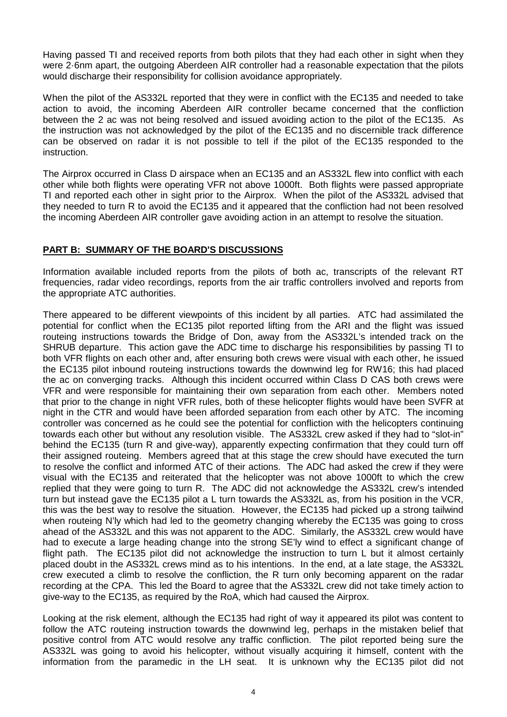Having passed TI and received reports from both pilots that they had each other in sight when they were 2·6nm apart, the outgoing Aberdeen AIR controller had a reasonable expectation that the pilots would discharge their responsibility for collision avoidance appropriately.

When the pilot of the AS332L reported that they were in conflict with the EC135 and needed to take action to avoid, the incoming Aberdeen AIR controller became concerned that the confliction between the 2 ac was not being resolved and issued avoiding action to the pilot of the EC135. As the instruction was not acknowledged by the pilot of the EC135 and no discernible track difference can be observed on radar it is not possible to tell if the pilot of the EC135 responded to the instruction.

The Airprox occurred in Class D airspace when an EC135 and an AS332L flew into conflict with each other while both flights were operating VFR not above 1000ft. Both flights were passed appropriate TI and reported each other in sight prior to the Airprox. When the pilot of the AS332L advised that they needed to turn R to avoid the EC135 and it appeared that the confliction had not been resolved the incoming Aberdeen AIR controller gave avoiding action in an attempt to resolve the situation.

## **PART B: SUMMARY OF THE BOARD'S DISCUSSIONS**

Information available included reports from the pilots of both ac, transcripts of the relevant RT frequencies, radar video recordings, reports from the air traffic controllers involved and reports from the appropriate ATC authorities.

There appeared to be different viewpoints of this incident by all parties. ATC had assimilated the potential for conflict when the EC135 pilot reported lifting from the ARI and the flight was issued routeing instructions towards the Bridge of Don, away from the AS332L's intended track on the SHRUB departure. This action gave the ADC time to discharge his responsibilities by passing TI to both VFR flights on each other and, after ensuring both crews were visual with each other, he issued the EC135 pilot inbound routeing instructions towards the downwind leg for RW16; this had placed the ac on converging tracks. Although this incident occurred within Class D CAS both crews were VFR and were responsible for maintaining their own separation from each other. Members noted that prior to the change in night VFR rules, both of these helicopter flights would have been SVFR at night in the CTR and would have been afforded separation from each other by ATC. The incoming controller was concerned as he could see the potential for confliction with the helicopters continuing towards each other but without any resolution visible. The AS332L crew asked if they had to "slot-in" behind the EC135 (turn R and give-way), apparently expecting confirmation that they could turn off their assigned routeing. Members agreed that at this stage the crew should have executed the turn to resolve the conflict and informed ATC of their actions. The ADC had asked the crew if they were visual with the EC135 and reiterated that the helicopter was not above 1000ft to which the crew replied that they were going to turn R. The ADC did not acknowledge the AS332L crew's intended turn but instead gave the EC135 pilot a L turn towards the AS332L as, from his position in the VCR, this was the best way to resolve the situation. However, the EC135 had picked up a strong tailwind when routeing N'ly which had led to the geometry changing whereby the EC135 was going to cross ahead of the AS332L and this was not apparent to the ADC. Similarly, the AS332L crew would have had to execute a large heading change into the strong SE'ly wind to effect a significant change of flight path. The EC135 pilot did not acknowledge the instruction to turn L but it almost certainly placed doubt in the AS332L crews mind as to his intentions. In the end, at a late stage, the AS332L crew executed a climb to resolve the confliction, the R turn only becoming apparent on the radar recording at the CPA. This led the Board to agree that the AS332L crew did not take timely action to give-way to the EC135, as required by the RoA, which had caused the Airprox.

Looking at the risk element, although the EC135 had right of way it appeared its pilot was content to follow the ATC routeing instruction towards the downwind leg, perhaps in the mistaken belief that positive control from ATC would resolve any traffic confliction. The pilot reported being sure the AS332L was going to avoid his helicopter, without visually acquiring it himself, content with the information from the paramedic in the LH seat. It is unknown why the EC135 pilot did not